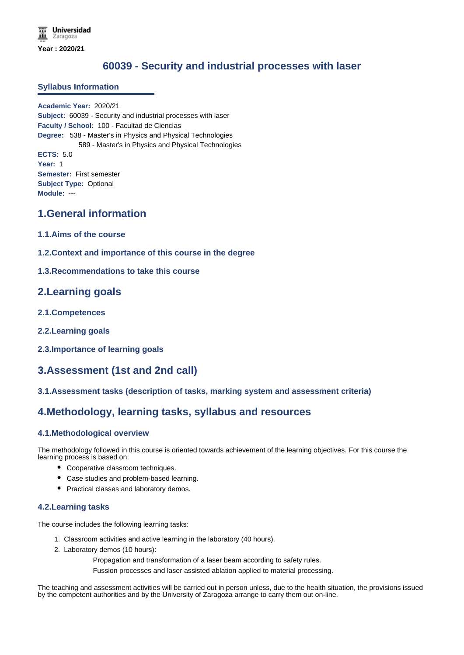# **60039 - Security and industrial processes with laser**

#### **Syllabus Information**

**Academic Year:** 2020/21 **Subject:** 60039 - Security and industrial processes with laser **Faculty / School:** 100 - Facultad de Ciencias **Degree:** 538 - Master's in Physics and Physical Technologies 589 - Master's in Physics and Physical Technologies **ECTS:** 5.0 **Year:** 1 **Semester:** First semester **Subject Type:** Optional **Module:** ---

## **1.General information**

- **1.1.Aims of the course**
- **1.2.Context and importance of this course in the degree**

### **1.3.Recommendations to take this course**

## **2.Learning goals**

- **2.1.Competences**
- **2.2.Learning goals**
- **2.3.Importance of learning goals**

# **3.Assessment (1st and 2nd call)**

### **3.1.Assessment tasks (description of tasks, marking system and assessment criteria)**

# **4.Methodology, learning tasks, syllabus and resources**

### **4.1.Methodological overview**

The methodology followed in this course is oriented towards achievement of the learning objectives. For this course the learning process is based on:

- Cooperative classroom techniques.
- Case studies and problem-based learning.
- Practical classes and laboratory demos.

#### **4.2.Learning tasks**

The course includes the following learning tasks:

- 1. Classroom activities and active learning in the laboratory (40 hours).
- 2. Laboratory demos (10 hours):
	- Propagation and transformation of a laser beam according to safety rules.
	- Fussion processes and laser assisted ablation applied to material processing.

The teaching and assessment activities will be carried out in person unless, due to the health situation, the provisions issued by the competent authorities and by the University of Zaragoza arrange to carry them out on-line.